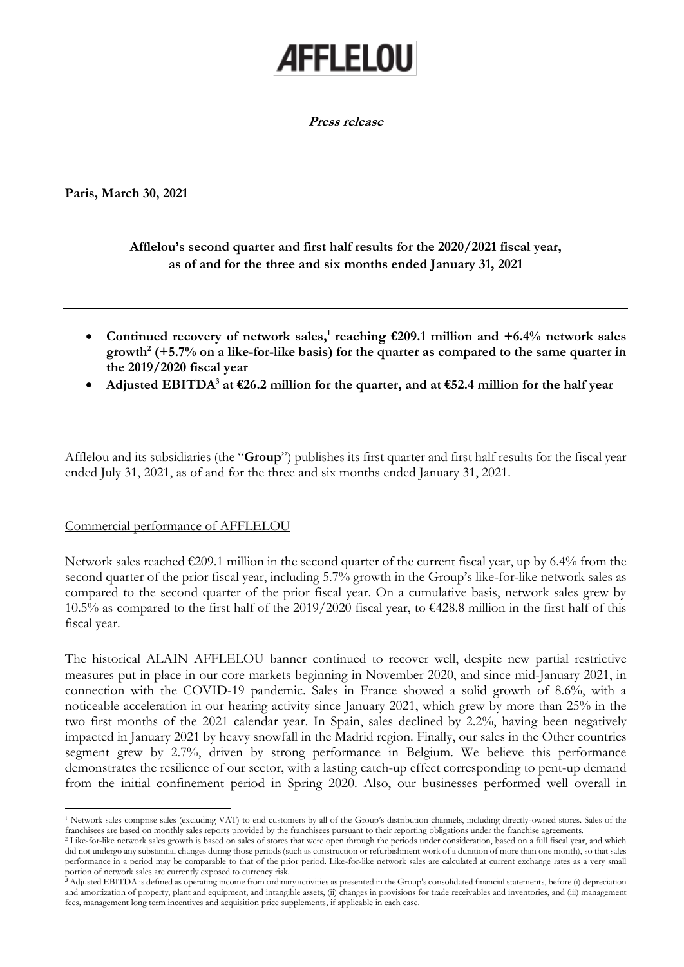# **AFFLELOU**

**Press release**

**Paris, March 30, 2021**

# **Afflelou's second quarter and first half results for the 2020/2021 fiscal year, as of and for the three and six months ended January 31, 2021**

- **Continued recovery of network sales, 1 reaching €209.1 million and +6.4% network sales growth<sup>2</sup> (+5.7% on a like-for-like basis) for the quarter as compared to the same quarter in the 2019/2020 fiscal year**
- **Adjusted EBITDA<sup>3</sup> at €26.2 million for the quarter, and at €52.4 million for the half year**

Afflelou and its subsidiaries (the "**Group**") publishes its first quarter and first half results for the fiscal year ended July 31, 2021, as of and for the three and six months ended January 31, 2021.

## Commercial performance of AFFLELOU

Network sales reached €209.1 million in the second quarter of the current fiscal year, up by 6.4% from the second quarter of the prior fiscal year, including 5.7% growth in the Group's like-for-like network sales as compared to the second quarter of the prior fiscal year. On a cumulative basis, network sales grew by 10.5% as compared to the first half of the 2019/2020 fiscal year, to €428.8 million in the first half of this fiscal year.

The historical ALAIN AFFLELOU banner continued to recover well, despite new partial restrictive measures put in place in our core markets beginning in November 2020, and since mid-January 2021, in connection with the COVID-19 pandemic. Sales in France showed a solid growth of 8.6%, with a noticeable acceleration in our hearing activity since January 2021, which grew by more than 25% in the two first months of the 2021 calendar year. In Spain, sales declined by 2.2%, having been negatively impacted in January 2021 by heavy snowfall in the Madrid region. Finally, our sales in the Other countries segment grew by 2.7%, driven by strong performance in Belgium. We believe this performance demonstrates the resilience of our sector, with a lasting catch-up effect corresponding to pent-up demand from the initial confinement period in Spring 2020. Also, our businesses performed well overall in

<sup>1</sup> Network sales comprise sales (excluding VAT) to end customers by all of the Group's distribution channels, including directly-owned stores. Sales of the franchisees are based on monthly sales reports provided by the franchisees pursuant to their reporting obligations under the franchise agreements.

<sup>&</sup>lt;sup>2</sup> Like-for-like network sales growth is based on sales of stores that were open through the periods under consideration, based on a full fiscal year, and which did not undergo any substantial changes during those periods (such as construction or refurbishment work of a duration of more than one month), so that sales performance in a period may be comparable to that of the prior period. Like-for-like network sales are calculated at current exchange rates as a very small portion of network sales are currently exposed to currency risk.

**<sup>3</sup>** Adjusted EBITDA is defined as operating income from ordinary activities as presented in the Group's consolidated financial statements, before (i) depreciation and amortization of property, plant and equipment, and intangible assets, (ii) changes in provisions for trade receivables and inventories, and (iii) management fees, management long term incentives and acquisition price supplements, if applicable in each case.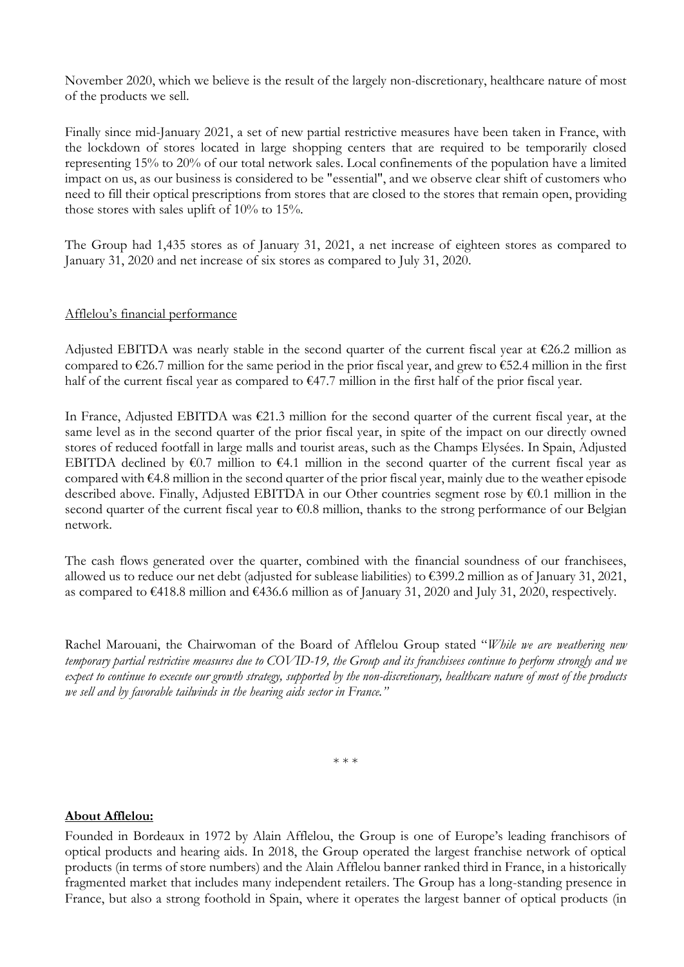November 2020, which we believe is the result of the largely non-discretionary, healthcare nature of most of the products we sell.

Finally since mid-January 2021, a set of new partial restrictive measures have been taken in France, with the lockdown of stores located in large shopping centers that are required to be temporarily closed representing 15% to 20% of our total network sales. Local confinements of the population have a limited impact on us, as our business is considered to be "essential", and we observe clear shift of customers who need to fill their optical prescriptions from stores that are closed to the stores that remain open, providing those stores with sales uplift of 10% to 15%.

The Group had 1,435 stores as of January 31, 2021, a net increase of eighteen stores as compared to January 31, 2020 and net increase of six stores as compared to July 31, 2020.

## Afflelou's financial performance

Adjusted EBITDA was nearly stable in the second quarter of the current fiscal year at  $\epsilon$ 26.2 million as compared to  $\epsilon$ 26.7 million for the same period in the prior fiscal year, and grew to  $\epsilon$ 52.4 million in the first half of the current fiscal year as compared to  $\epsilon$ 47.7 million in the first half of the prior fiscal year.

In France, Adjusted EBITDA was €21.3 million for the second quarter of the current fiscal year, at the same level as in the second quarter of the prior fiscal year, in spite of the impact on our directly owned stores of reduced footfall in large malls and tourist areas, such as the Champs Elysées. In Spain, Adjusted EBITDA declined by  $\epsilon$ 0.7 million to  $\epsilon$ 4.1 million in the second quarter of the current fiscal year as compared with  $\epsilon$ 4.8 million in the second quarter of the prior fiscal year, mainly due to the weather episode described above. Finally, Adjusted EBITDA in our Other countries segment rose by €0.1 million in the second quarter of the current fiscal year to  $\epsilon$ 0.8 million, thanks to the strong performance of our Belgian network.

The cash flows generated over the quarter, combined with the financial soundness of our franchisees, allowed us to reduce our net debt (adjusted for sublease liabilities) to  $\epsilon$ 399.2 million as of January 31, 2021, as compared to  $\epsilon$ 418.8 million and  $\epsilon$ 436.6 million as of January 31, 2020 and July 31, 2020, respectively.

Rachel Marouani, the Chairwoman of the Board of Afflelou Group stated "*While we are weathering new temporary partial restrictive measures due to COVID-19, the Group and its franchisees continue to perform strongly and we expect to continue to execute our growth strategy, supported by the non-discretionary, healthcare nature of most of the products we sell and by favorable tailwinds in the hearing aids sector in France."*

\* \* \*

#### **About Afflelou:**

Founded in Bordeaux in 1972 by Alain Afflelou, the Group is one of Europe's leading franchisors of optical products and hearing aids. In 2018, the Group operated the largest franchise network of optical products (in terms of store numbers) and the Alain Afflelou banner ranked third in France, in a historically fragmented market that includes many independent retailers. The Group has a long-standing presence in France, but also a strong foothold in Spain, where it operates the largest banner of optical products (in